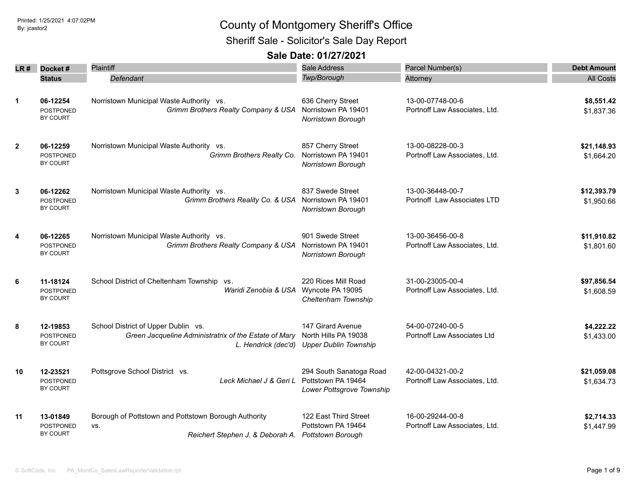Sheriff Sale - Solicitor's Sale Day Report

|              | $LR#$ Docket#                                   | Plaintiff                                                                                                           | Sale Address                                                               | Parcel Number(s)                                  | <b>Debt Amount</b>        |
|--------------|-------------------------------------------------|---------------------------------------------------------------------------------------------------------------------|----------------------------------------------------------------------------|---------------------------------------------------|---------------------------|
|              | <b>Status</b>                                   | Defendant                                                                                                           | Twp/Borough                                                                | Attorney                                          | <b>All Costs</b>          |
| $\mathbf{1}$ | 06-12254<br><b>POSTPONED</b><br>BY COURT        | Norristown Municipal Waste Authority vs.<br>Grimm Brothers Realty Company & USA                                     | 636 Cherry Street<br>Norristown PA 19401<br>Norristown Borough             | 13-00-07748-00-6<br>Portnoff Law Associates, Ltd. | \$8,551.42<br>\$1,837.36  |
| $\mathbf{2}$ | 06-12259<br><b>POSTPONED</b><br>BY COURT        | Norristown Municipal Waste Authority vs.<br>Grimm Brothers Realty Co.                                               | 857 Cherry Street<br>Norristown PA 19401<br>Norristown Borough             | 13-00-08228-00-3<br>Portnoff Law Associates, Ltd. | \$21,148.93<br>\$1,664.20 |
| 3            | 06-12262<br><b>POSTPONED</b><br>BY COURT        | Norristown Municipal Waste Authority vs.<br>Grimm Brothers Reality Co. & USA                                        | 837 Swede Street<br>Norristown PA 19401<br>Norristown Borough              | 13-00-36448-00-7<br>Portnoff Law Associates LTD   | \$12,393.79<br>\$1,950.66 |
| 4            | 06-12265<br><b>POSTPONED</b><br>BY COURT        | Norristown Municipal Waste Authority vs.<br>Grimm Brothers Realty Company & USA                                     | 901 Swede Street<br>Norristown PA 19401<br><b>Norristown Borough</b>       | 13-00-36456-00-8<br>Portnoff Law Associates, Ltd. | \$11,910.82<br>\$1,801.60 |
| 6            | 11-18124<br><b>POSTPONED</b><br><b>BY COURT</b> | School District of Cheltenham Township vs.<br>Waridi Zenobia & USA                                                  | 220 Rices Mill Road<br>Wyncote PA 19095<br>Cheltenham Township             | 31-00-23005-00-4<br>Portnoff Law Associates, Ltd. | \$97,856.54<br>\$1,608.59 |
| 8            | 12-19853<br>POSTPONED<br>BY COURT               | School District of Upper Dublin vs.<br>Green Jacqueline Administratrix of the Estate of Mary<br>L. Hendrick (dec'd) | 147 Girard Avenue<br>North Hills PA 19038<br><b>Upper Dublin Township</b>  | 54-00-07240-00-5<br>Portnoff Law Associates Ltd   | \$4,222.22<br>\$1,433.00  |
| 10           | 12-23521<br><b>POSTPONED</b><br>BY COURT        | Pottsgrove School District vs.<br>Leck Michael J & Geri L                                                           | 294 South Sanatoga Road<br>Pottstown PA 19464<br>Lower Pottsgrove Township | 42-00-04321-00-2<br>Portnoff Law Associates, Ltd. | \$21,059.08<br>\$1,634.73 |
| 11           | 13-01849<br><b>POSTPONED</b><br><b>BY COURT</b> | Borough of Pottstown and Pottstown Borough Authority<br>VS.<br>Reichert Stephen J. & Deborah A.                     | 122 East Third Street<br>Pottstown PA 19464<br><b>Pottstown Borough</b>    | 16-00-29244-00-8<br>Portnoff Law Associates, Ltd. | \$2,714.33<br>\$1,447.99  |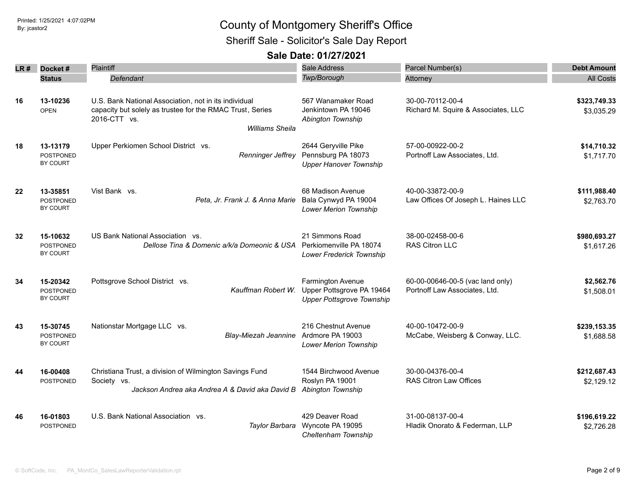### Printed: 1/25/2021 4:07:02PM By: jcastor2 County of Montgomery Sheriff's Office Sheriff Sale - Solicitor's Sale Day Report

| LR # | Docket#                      | Plaintiff                                                                                                                          | <b>Sale Address</b>                                            | Parcel Number(s)                                        | <b>Debt Amount</b>         |
|------|------------------------------|------------------------------------------------------------------------------------------------------------------------------------|----------------------------------------------------------------|---------------------------------------------------------|----------------------------|
|      | <b>Status</b>                | Defendant                                                                                                                          | Twp/Borough                                                    | Attorney                                                | <b>All Costs</b>           |
|      |                              |                                                                                                                                    |                                                                |                                                         |                            |
| 16   | 13-10236<br><b>OPEN</b>      | U.S. Bank National Association, not in its individual<br>capacity but solely as trustee for the RMAC Trust, Series<br>2016-CTT vs. | 567 Wanamaker Road<br>Jenkintown PA 19046<br>Abington Township | 30-00-70112-00-4<br>Richard M. Squire & Associates, LLC | \$323,749.33<br>\$3,035.29 |
|      |                              | <b>Williams Sheila</b>                                                                                                             |                                                                |                                                         |                            |
| 18   | 13-13179<br><b>POSTPONED</b> | Upper Perkiomen School District vs.<br>Renninger Jeffrey                                                                           | 2644 Geryville Pike<br>Pennsburg PA 18073                      | 57-00-00922-00-2<br>Portnoff Law Associates, Ltd.       | \$14,710.32<br>\$1,717.70  |
|      | BY COURT                     |                                                                                                                                    | <b>Upper Hanover Township</b>                                  |                                                         |                            |
| 22   | 13-35851                     | Vist Bank vs.                                                                                                                      | 68 Madison Avenue                                              | 40-00-33872-00-9                                        | \$111,988.40               |
|      | <b>POSTPONED</b><br>BY COURT | Peta, Jr. Frank J. & Anna Marie                                                                                                    | Bala Cynwyd PA 19004<br><b>Lower Merion Township</b>           | Law Offices Of Joseph L. Haines LLC                     | \$2,763.70                 |
| 32   | 15-10632                     | US Bank National Association vs.                                                                                                   | 21 Simmons Road                                                | 38-00-02458-00-6                                        | \$980,693.27               |
|      | <b>POSTPONED</b><br>BY COURT | Dellose Tina & Domenic a/k/a Domeonic & USA Perkiomenville PA 18074                                                                | Lower Frederick Township                                       | <b>RAS Citron LLC</b>                                   | \$1,617.26                 |
| 34   | 15-20342                     | Pottsgrove School District vs.                                                                                                     | Farmington Avenue                                              | 60-00-00646-00-5 (vac land only)                        | \$2,562.76                 |
|      | <b>POSTPONED</b><br>BY COURT | Kauffman Robert W.                                                                                                                 | Upper Pottsgrove PA 19464<br><b>Upper Pottsgrove Township</b>  | Portnoff Law Associates, Ltd.                           | \$1,508.01                 |
| 43   | 15-30745                     | Nationstar Mortgage LLC vs.                                                                                                        | 216 Chestnut Avenue                                            | 40-00-10472-00-9                                        | \$239,153.35               |
|      | <b>POSTPONED</b><br>BY COURT | Blay-Miezah Jeannine                                                                                                               | Ardmore PA 19003<br>Lower Merion Township                      | McCabe, Weisberg & Conway, LLC.                         | \$1,688.58                 |
| 44   | 16-00408                     | Christiana Trust, a division of Wilmington Savings Fund                                                                            | 1544 Birchwood Avenue                                          | 30-00-04376-00-4                                        | \$212,687.43               |
|      | POSTPONED                    | Society vs.<br>Jackson Andrea aka Andrea A & David aka David B                                                                     | Roslyn PA 19001<br>Abington Township                           | <b>RAS Citron Law Offices</b>                           | \$2,129.12                 |
| 46   | 16-01803                     | U.S. Bank National Association vs.                                                                                                 | 429 Deaver Road                                                | 31-00-08137-00-4                                        | \$196,619.22               |
|      | <b>POSTPONED</b>             | Taylor Barbara                                                                                                                     | Wyncote PA 19095<br>Cheltenham Township                        | Hladik Onorato & Federman, LLP                          | \$2,726.28                 |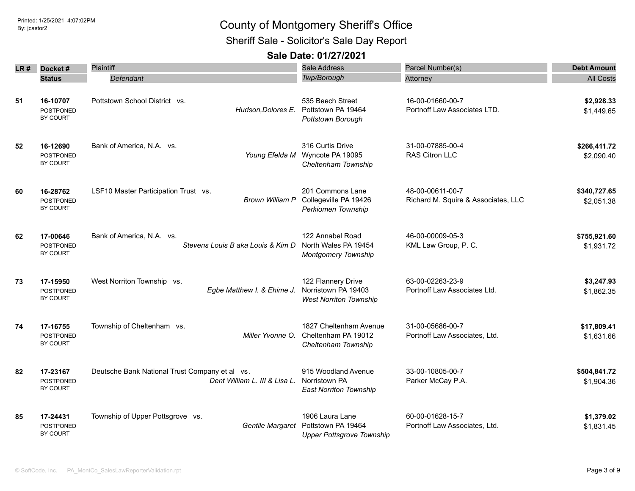Sheriff Sale - Solicitor's Sale Day Report

| LR # | Docket#                                         | Plaintiff                                                                       | <b>Sale Address</b>                                                                        | Parcel Number(s)                                        | <b>Debt Amount</b>         |
|------|-------------------------------------------------|---------------------------------------------------------------------------------|--------------------------------------------------------------------------------------------|---------------------------------------------------------|----------------------------|
|      | <b>Status</b>                                   | Defendant                                                                       | <b>Twp/Borough</b>                                                                         | Attorney                                                | <b>All Costs</b>           |
| 51   | 16-10707<br><b>POSTPONED</b><br>BY COURT        | Pottstown School District vs.                                                   | 535 Beech Street<br>Hudson, Dolores E. Pottstown PA 19464<br>Pottstown Borough             | 16-00-01660-00-7<br>Portnoff Law Associates LTD.        | \$2,928.33<br>\$1,449.65   |
| 52   | 16-12690<br><b>POSTPONED</b><br>BY COURT        | Bank of America, N.A. vs.<br>Young Efelda M                                     | 316 Curtis Drive<br>Wyncote PA 19095<br>Cheltenham Township                                | 31-00-07885-00-4<br>RAS Citron LLC                      | \$266,411.72<br>\$2,090.40 |
| 60   | 16-28762<br><b>POSTPONED</b><br>BY COURT        | LSF10 Master Participation Trust vs.<br>Brown William P                         | 201 Commons Lane<br>Collegeville PA 19426<br>Perkiomen Township                            | 48-00-00611-00-7<br>Richard M. Squire & Associates, LLC | \$340,727.65<br>\$2,051.38 |
| 62   | 17-00646<br><b>POSTPONED</b><br><b>BY COURT</b> | Bank of America, N.A. vs.<br>Stevens Louis B aka Louis & Kim D                  | 122 Annabel Road<br>North Wales PA 19454<br><b>Montgomery Township</b>                     | 46-00-00009-05-3<br>KML Law Group, P. C.                | \$755,921.60<br>\$1,931.72 |
| 73   | 17-15950<br><b>POSTPONED</b><br>BY COURT        | West Norriton Township vs.<br>Egbe Matthew I. & Ehime J.                        | 122 Flannery Drive<br>Norristown PA 19403<br><b>West Norriton Township</b>                 | 63-00-02263-23-9<br>Portnoff Law Associates Ltd.        | \$3,247.93<br>\$1,862.35   |
| 74   | 17-16755<br><b>POSTPONED</b><br>BY COURT        | Township of Cheltenham vs.<br>Miller Yvonne O.                                  | 1827 Cheltenham Avenue<br>Cheltenham PA 19012<br>Cheltenham Township                       | 31-00-05686-00-7<br>Portnoff Law Associates, Ltd.       | \$17,809.41<br>\$1,631.66  |
| 82   | 17-23167<br>POSTPONED<br>BY COURT               | Deutsche Bank National Trust Company et al vs.<br>Dent William L. III & Lisa L. | 915 Woodland Avenue<br>Norristown PA<br><b>East Norriton Township</b>                      | 33-00-10805-00-7<br>Parker McCay P.A.                   | \$504,841.72<br>\$1,904.36 |
| 85   | 17-24431<br>POSTPONED<br>BY COURT               | Township of Upper Pottsgrove vs.                                                | 1906 Laura Lane<br>Gentile Margaret Pottstown PA 19464<br><b>Upper Pottsgrove Township</b> | 60-00-01628-15-7<br>Portnoff Law Associates, Ltd.       | \$1,379.02<br>\$1,831.45   |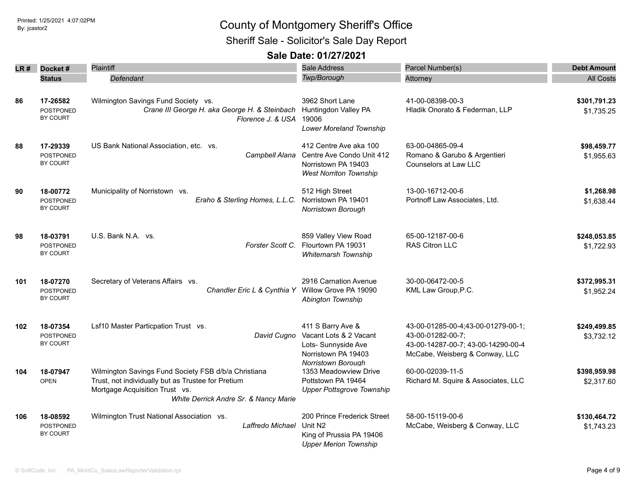### Printed: 1/25/2021 4:07:02PM By: jcastor2 County of Montgomery Sheriff's Office Sheriff Sale - Solicitor's Sale Day Report

| LR # | Docket#                                         | <b>Plaintiff</b><br>Defendant                                                                                                                                                         | <b>Sale Address</b><br>Twp/Borough                                                                                     | Parcel Number(s)                                                                                                                | <b>Debt Amount</b><br><b>All Costs</b> |
|------|-------------------------------------------------|---------------------------------------------------------------------------------------------------------------------------------------------------------------------------------------|------------------------------------------------------------------------------------------------------------------------|---------------------------------------------------------------------------------------------------------------------------------|----------------------------------------|
|      | <b>Status</b>                                   |                                                                                                                                                                                       |                                                                                                                        | Attorney                                                                                                                        |                                        |
| 86   | 17-26582<br><b>POSTPONED</b><br>BY COURT        | Wilmington Savings Fund Society vs.<br>Crane III George H. aka George H. & Steinbach<br>Florence J. & USA                                                                             | 3962 Short Lane<br>Huntingdon Valley PA<br>19006<br>Lower Moreland Township                                            | 41-00-08398-00-3<br>Hladik Onorato & Federman, LLP                                                                              | \$301,791.23<br>\$1,735.25             |
| 88   | 17-29339<br><b>POSTPONED</b><br>BY COURT        | US Bank National Association, etc. vs.<br>Campbell Alana                                                                                                                              | 412 Centre Ave aka 100<br>Centre Ave Condo Unit 412<br>Norristown PA 19403<br><b>West Norriton Township</b>            | 63-00-04865-09-4<br>Romano & Garubo & Argentieri<br>Counselors at Law LLC                                                       | \$98,459.77<br>\$1,955.63              |
| 90   | 18-00772<br><b>POSTPONED</b><br>BY COURT        | Municipality of Norristown vs.<br>Eraho & Sterling Homes, L.L.C.                                                                                                                      | 512 High Street<br>Norristown PA 19401<br>Norristown Borough                                                           | 13-00-16712-00-6<br>Portnoff Law Associates, Ltd.                                                                               | \$1,268.98<br>\$1,638.44               |
| 98   | 18-03791<br><b>POSTPONED</b><br>BY COURT        | U.S. Bank N.A. vs.<br>Forster Scott C.                                                                                                                                                | 859 Valley View Road<br>Flourtown PA 19031<br><b>Whitemarsh Township</b>                                               | 65-00-12187-00-6<br><b>RAS Citron LLC</b>                                                                                       | \$248,053.85<br>\$1,722.93             |
| 101  | 18-07270<br><b>POSTPONED</b><br>BY COURT        | Secretary of Veterans Affairs vs.<br>Chandler Eric L & Cynthia Y                                                                                                                      | 2916 Carnation Avenue<br>Willow Grove PA 19090<br>Abington Township                                                    | 30-00-06472-00-5<br>KML Law Group, P.C.                                                                                         | \$372,995.31<br>\$1,952.24             |
| 102  | 18-07354<br><b>POSTPONED</b><br>BY COURT        | Lsf10 Master Particpation Trust vs.<br>David Cugno                                                                                                                                    | 411 S Barry Ave &<br>Vacant Lots & 2 Vacant<br>Lots- Sunnyside Ave<br>Norristown PA 19403<br><b>Norristown Borough</b> | 43-00-01285-00-4;43-00-01279-00-1;<br>43-00-01282-00-7;<br>43-00-14287-00-7; 43-00-14290-00-4<br>McCabe, Weisberg & Conway, LLC | \$249,499.85<br>\$3,732.12             |
| 104  | 18-07947<br><b>OPEN</b>                         | Wilmington Savings Fund Society FSB d/b/a Christiana<br>Trust, not individually but as Trustee for Pretium<br>Mortgage Acquisition Trust vs.<br>White Derrick Andre Sr. & Nancy Marie | 1353 Meadowview Drive<br>Pottstown PA 19464<br><b>Upper Pottsgrove Township</b>                                        | 60-00-02039-11-5<br>Richard M. Squire & Associates, LLC                                                                         | \$398,959.98<br>\$2,317.60             |
| 106  | 18-08592<br><b>POSTPONED</b><br><b>BY COURT</b> | Wilmington Trust National Association vs.<br>Laffredo Michael                                                                                                                         | 200 Prince Frederick Street<br>Unit N <sub>2</sub><br>King of Prussia PA 19406<br><b>Upper Merion Township</b>         | 58-00-15119-00-6<br>McCabe, Weisberg & Conway, LLC                                                                              | \$130,464.72<br>\$1,743.23             |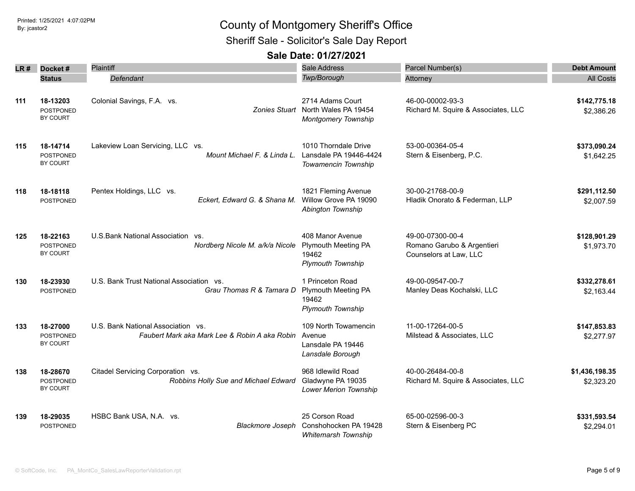Sheriff Sale - Solicitor's Sale Day Report

| LR # | Docket#                                         | Plaintiff                                                                           | Sale Address                                                                         | Parcel Number(s)                                                         | <b>Debt Amount</b>           |
|------|-------------------------------------------------|-------------------------------------------------------------------------------------|--------------------------------------------------------------------------------------|--------------------------------------------------------------------------|------------------------------|
|      | <b>Status</b>                                   | Defendant                                                                           | Twp/Borough                                                                          | Attorney                                                                 | <b>All Costs</b>             |
| 111  | 18-13203<br>POSTPONED<br><b>BY COURT</b>        | Colonial Savings, F.A. vs.                                                          | 2714 Adams Court<br>Zonies Stuart North Wales PA 19454<br><b>Montgomery Township</b> | 46-00-00002-93-3<br>Richard M. Squire & Associates, LLC                  | \$142,775.18<br>\$2,386.26   |
| 115  | 18-14714<br><b>POSTPONED</b><br>BY COURT        | Lakeview Loan Servicing, LLC vs.<br>Mount Michael F. & Linda L.                     | 1010 Thorndale Drive<br>Lansdale PA 19446-4424<br>Towamencin Township                | 53-00-00364-05-4<br>Stern & Eisenberg, P.C.                              | \$373,090.24<br>\$1,642.25   |
| 118  | 18-18118<br><b>POSTPONED</b>                    | Pentex Holdings, LLC vs.<br>Eckert, Edward G. & Shana M.                            | 1821 Fleming Avenue<br>Willow Grove PA 19090<br>Abington Township                    | 30-00-21768-00-9<br>Hladik Onorato & Federman, LLP                       | \$291,112.50<br>\$2,007.59   |
| 125  | 18-22163<br><b>POSTPONED</b><br><b>BY COURT</b> | U.S. Bank National Association vs.<br>Nordberg Nicole M. a/k/a Nicole               | 408 Manor Avenue<br><b>Plymouth Meeting PA</b><br>19462<br><b>Plymouth Township</b>  | 49-00-07300-00-4<br>Romano Garubo & Argentieri<br>Counselors at Law, LLC | \$128,901.29<br>\$1,973.70   |
| 130  | 18-23930<br><b>POSTPONED</b>                    | U.S. Bank Trust National Association vs.<br>Grau Thomas R & Tamara D                | 1 Princeton Road<br><b>Plymouth Meeting PA</b><br>19462<br><b>Plymouth Township</b>  | 49-00-09547-00-7<br>Manley Deas Kochalski, LLC                           | \$332,278.61<br>\$2,163.44   |
| 133  | 18-27000<br><b>POSTPONED</b><br><b>BY COURT</b> | U.S. Bank National Association vs.<br>Faubert Mark aka Mark Lee & Robin A aka Robin | 109 North Towamencin<br>Avenue<br>Lansdale PA 19446<br>Lansdale Borough              | 11-00-17264-00-5<br>Milstead & Associates, LLC                           | \$147,853.83<br>\$2,277.97   |
| 138  | 18-28670<br><b>POSTPONED</b><br>BY COURT        | Citadel Servicing Corporation vs.<br>Robbins Holly Sue and Michael Edward           | 968 Idlewild Road<br>Gladwyne PA 19035<br><b>Lower Merion Township</b>               | 40-00-26484-00-8<br>Richard M. Squire & Associates, LLC                  | \$1,436,198.35<br>\$2,323.20 |
| 139  | 18-29035<br>POSTPONED                           | HSBC Bank USA, N.A. vs.<br><b>Blackmore Joseph</b>                                  | 25 Corson Road<br>Conshohocken PA 19428<br><b>Whitemarsh Township</b>                | 65-00-02596-00-3<br>Stern & Eisenberg PC                                 | \$331,593.54<br>\$2,294.01   |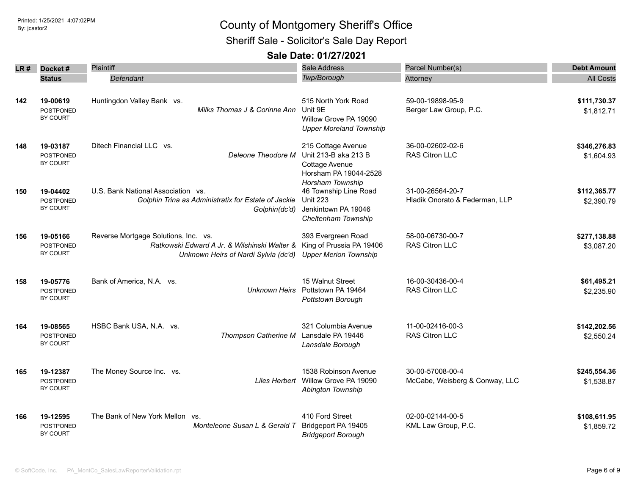Sheriff Sale - Solicitor's Sale Day Report

| LR# | Docket#                                         | Plaintiff                                                                                                                    | Sale Address                                                                                              | Parcel Number(s)                                   | <b>Debt Amount</b>         |
|-----|-------------------------------------------------|------------------------------------------------------------------------------------------------------------------------------|-----------------------------------------------------------------------------------------------------------|----------------------------------------------------|----------------------------|
|     | <b>Status</b>                                   | Defendant                                                                                                                    | Twp/Borough                                                                                               | Attorney                                           | <b>All Costs</b>           |
|     |                                                 |                                                                                                                              |                                                                                                           |                                                    |                            |
| 142 | 19-00619<br>POSTPONED<br>BY COURT               | Huntingdon Valley Bank vs.<br>Milks Thomas J & Corinne Ann                                                                   | 515 North York Road<br>Unit 9E<br>Willow Grove PA 19090<br><b>Upper Moreland Township</b>                 | 59-00-19898-95-9<br>Berger Law Group, P.C.         | \$111,730.37<br>\$1,812.71 |
| 148 | 19-03187<br><b>POSTPONED</b><br><b>BY COURT</b> | Ditech Financial LLC vs.<br>Deleone Theodore M                                                                               | 215 Cottage Avenue<br>Unit 213-B aka 213 B<br>Cottage Avenue<br>Horsham PA 19044-2528<br>Horsham Township | 36-00-02602-02-6<br><b>RAS Citron LLC</b>          | \$346,276.83<br>\$1,604.93 |
| 150 | 19-04402<br><b>POSTPONED</b><br>BY COURT        | U.S. Bank National Association vs.<br>Golphin Trina as Administratix for Estate of Jackie<br>Golphin(dc'd)                   | 46 Township Line Road<br><b>Unit 223</b><br>Jenkintown PA 19046<br>Cheltenham Township                    | 31-00-26564-20-7<br>Hladik Onorato & Federman, LLP | \$112,365.77<br>\$2,390.79 |
| 156 | 19-05166<br><b>POSTPONED</b><br>BY COURT        | Reverse Mortgage Solutions, Inc. vs.<br>Ratkowski Edward A Jr. & Wilshinski Walter &<br>Unknown Heirs of Nardi Sylvia (dc'd) | 393 Evergreen Road<br>King of Prussia PA 19406<br><b>Upper Merion Township</b>                            | 58-00-06730-00-7<br>RAS Citron LLC                 | \$277,138.88<br>\$3,087.20 |
| 158 | 19-05776<br><b>POSTPONED</b><br>BY COURT        | Bank of America, N.A. vs.<br>Unknown Heirs                                                                                   | 15 Walnut Street<br>Pottstown PA 19464<br>Pottstown Borough                                               | 16-00-30436-00-4<br>RAS Citron LLC                 | \$61,495.21<br>\$2,235.90  |
| 164 | 19-08565<br>POSTPONED<br>BY COURT               | HSBC Bank USA, N.A. vs.<br>Thompson Catherine M                                                                              | 321 Columbia Avenue<br>Lansdale PA 19446<br>Lansdale Borough                                              | 11-00-02416-00-3<br><b>RAS Citron LLC</b>          | \$142,202.56<br>\$2,550.24 |
| 165 | 19-12387<br>POSTPONED<br>BY COURT               | The Money Source Inc. vs.                                                                                                    | 1538 Robinson Avenue<br>Liles Herbert Willow Grove PA 19090<br>Abington Township                          | 30-00-57008-00-4<br>McCabe, Weisberg & Conway, LLC | \$245,554.36<br>\$1,538.87 |
| 166 | 19-12595<br><b>POSTPONED</b><br>BY COURT        | The Bank of New York Mellon vs.<br>Monteleone Susan L & Gerald T                                                             | 410 Ford Street<br>Bridgeport PA 19405<br><b>Bridgeport Borough</b>                                       | 02-00-02144-00-5<br>KML Law Group, P.C.            | \$108,611.95<br>\$1,859.72 |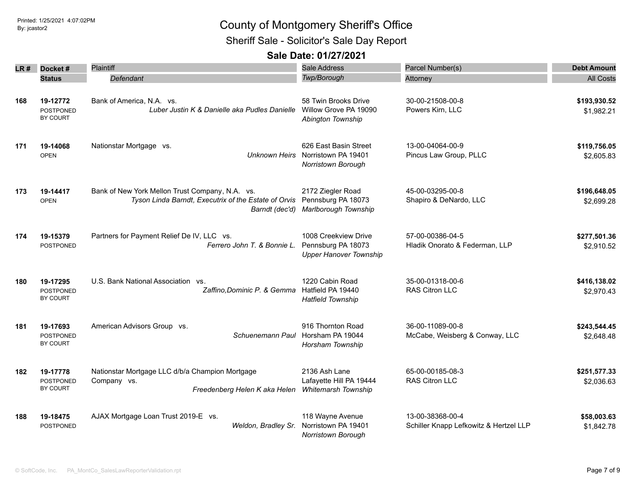Sheriff Sale - Solicitor's Sale Day Report

| LR# | Docket#                                         | Plaintiff                                                                                                                                    | Sale Address                                                                     | Parcel Number(s)                                           | <b>Debt Amount</b>         |
|-----|-------------------------------------------------|----------------------------------------------------------------------------------------------------------------------------------------------|----------------------------------------------------------------------------------|------------------------------------------------------------|----------------------------|
|     | <b>Status</b>                                   | Defendant                                                                                                                                    | Twp/Borough                                                                      | Attorney                                                   | <b>All Costs</b>           |
| 168 | 19-12772<br>POSTPONED<br>BY COURT               | Bank of America, N.A. vs.<br>Luber Justin K & Danielle aka Pudles Danielle                                                                   | 58 Twin Brooks Drive<br>Willow Grove PA 19090<br>Abington Township               | 30-00-21508-00-8<br>Powers Kirn, LLC                       | \$193,930.52<br>\$1,982.21 |
| 171 | 19-14068<br><b>OPEN</b>                         | Nationstar Mortgage vs.                                                                                                                      | 626 East Basin Street<br>Unknown Heirs Norristown PA 19401<br>Norristown Borough | 13-00-04064-00-9<br>Pincus Law Group, PLLC                 | \$119,756.05<br>\$2,605.83 |
| 173 | 19-14417<br><b>OPEN</b>                         | Bank of New York Mellon Trust Company, N.A. vs.<br>Tyson Linda Barndt, Executrix of the Estate of Orvis Pennsburg PA 18073<br>Barndt (dec'd) | 2172 Ziegler Road<br>Marlborough Township                                        | 45-00-03295-00-8<br>Shapiro & DeNardo, LLC                 | \$196,648.05<br>\$2,699.28 |
| 174 | 19-15379<br><b>POSTPONED</b>                    | Partners for Payment Relief De IV, LLC vs.<br>Ferrero John T. & Bonnie L.                                                                    | 1008 Creekview Drive<br>Pennsburg PA 18073<br><b>Upper Hanover Township</b>      | 57-00-00386-04-5<br>Hladik Onorato & Federman, LLP         | \$277,501.36<br>\$2,910.52 |
| 180 | 19-17295<br><b>POSTPONED</b><br>BY COURT        | U.S. Bank National Association vs.<br>Zaffino, Dominic P. & Gemma                                                                            | 1220 Cabin Road<br>Hatfield PA 19440<br><b>Hatfield Township</b>                 | 35-00-01318-00-6<br><b>RAS Citron LLC</b>                  | \$416,138.02<br>\$2,970.43 |
| 181 | 19-17693<br><b>POSTPONED</b><br><b>BY COURT</b> | American Advisors Group vs.<br>Schuenemann Paul                                                                                              | 916 Thornton Road<br>Horsham PA 19044<br>Horsham Township                        | 36-00-11089-00-8<br>McCabe, Weisberg & Conway, LLC         | \$243,544.45<br>\$2,648.48 |
| 182 | 19-17778<br><b>POSTPONED</b><br>BY COURT        | Nationstar Mortgage LLC d/b/a Champion Mortgage<br>Company vs.<br>Freedenberg Helen K aka Helen                                              | 2136 Ash Lane<br>Lafayette Hill PA 19444<br><b>Whitemarsh Township</b>           | 65-00-00185-08-3<br>RAS Citron LLC                         | \$251,577.33<br>\$2,036.63 |
| 188 | 19-18475<br>POSTPONED                           | AJAX Mortgage Loan Trust 2019-E vs.<br>Weldon, Bradley Sr.                                                                                   | 118 Wayne Avenue<br>Norristown PA 19401<br>Norristown Borough                    | 13-00-38368-00-4<br>Schiller Knapp Lefkowitz & Hertzel LLP | \$58,003.63<br>\$1,842.78  |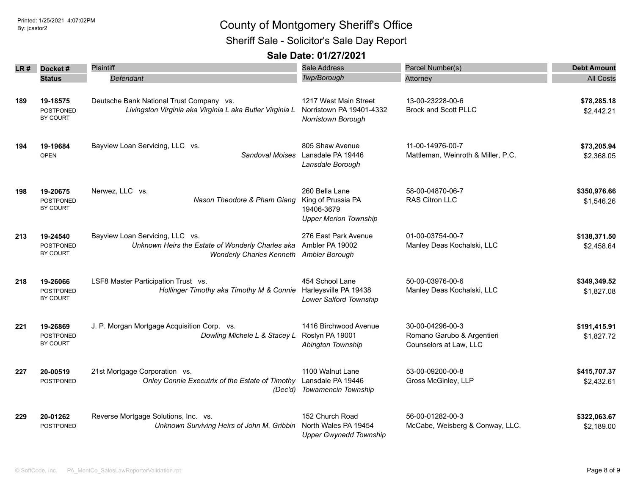Sheriff Sale - Solicitor's Sale Day Report

| LR # | Docket#                                  | <b>Plaintiff</b>                                                                                                               | Sale Address                                                                       | Parcel Number(s)                                                         | <b>Debt Amount</b>         |
|------|------------------------------------------|--------------------------------------------------------------------------------------------------------------------------------|------------------------------------------------------------------------------------|--------------------------------------------------------------------------|----------------------------|
|      | <b>Status</b>                            | Defendant                                                                                                                      | Twp/Borough                                                                        | Attorney                                                                 | <b>All Costs</b>           |
| 189  | 19-18575<br><b>POSTPONED</b><br>BY COURT | Deutsche Bank National Trust Company vs.<br>Livingston Virginia aka Virginia L aka Butler Virginia L                           | 1217 West Main Street<br>Norristown PA 19401-4332<br>Norristown Borough            | 13-00-23228-00-6<br>Brock and Scott PLLC                                 | \$78,285.18<br>\$2,442.21  |
| 194  | 19-19684<br><b>OPEN</b>                  | Bayview Loan Servicing, LLC vs.                                                                                                | 805 Shaw Avenue<br>Sandoval Moises Lansdale PA 19446<br>Lansdale Borough           | 11-00-14976-00-7<br>Mattleman, Weinroth & Miller, P.C.                   | \$73,205.94<br>\$2,368.05  |
| 198  | 19-20675<br><b>POSTPONED</b><br>BY COURT | Nerwez, LLC vs.<br>Nason Theodore & Pham Giang                                                                                 | 260 Bella Lane<br>King of Prussia PA<br>19406-3679<br><b>Upper Merion Township</b> | 58-00-04870-06-7<br><b>RAS Citron LLC</b>                                | \$350,976.66<br>\$1,546.26 |
| 213  | 19-24540<br><b>POSTPONED</b><br>BY COURT | Bayview Loan Servicing, LLC vs.<br>Unknown Heirs the Estate of Wonderly Charles aka<br>Wonderly Charles Kenneth Ambler Borough | 276 East Park Avenue<br>Ambler PA 19002                                            | 01-00-03754-00-7<br>Manley Deas Kochalski, LLC                           | \$138,371.50<br>\$2,458.64 |
| 218  | 19-26066<br><b>POSTPONED</b><br>BY COURT | LSF8 Master Participation Trust vs.<br>Hollinger Timothy aka Timothy M & Connie                                                | 454 School Lane<br>Harleysville PA 19438<br>Lower Salford Township                 | 50-00-03976-00-6<br>Manley Deas Kochalski, LLC                           | \$349,349.52<br>\$1,827.08 |
| 221  | 19-26869<br>POSTPONED<br>BY COURT        | J. P. Morgan Mortgage Acquisition Corp. vs.<br>Dowling Michele L & Stacey L                                                    | 1416 Birchwood Avenue<br>Roslyn PA 19001<br>Abington Township                      | 30-00-04296-00-3<br>Romano Garubo & Argentieri<br>Counselors at Law, LLC | \$191,415.91<br>\$1,827.72 |
| 227  | 20-00519<br><b>POSTPONED</b>             | 21st Mortgage Corporation vs.<br>Onley Connie Executrix of the Estate of Timothy                                               | 1100 Walnut Lane<br>Lansdale PA 19446<br>(Dec'd) Towamencin Township               | 53-00-09200-00-8<br>Gross McGinley, LLP                                  | \$415,707.37<br>\$2,432.61 |
| 229  | 20-01262<br><b>POSTPONED</b>             | Reverse Mortgage Solutions, Inc. vs.<br>Unknown Surviving Heirs of John M. Gribbin                                             | 152 Church Road<br>North Wales PA 19454<br><b>Upper Gwynedd Township</b>           | 56-00-01282-00-3<br>McCabe, Weisberg & Conway, LLC.                      | \$322,063.67<br>\$2,189.00 |